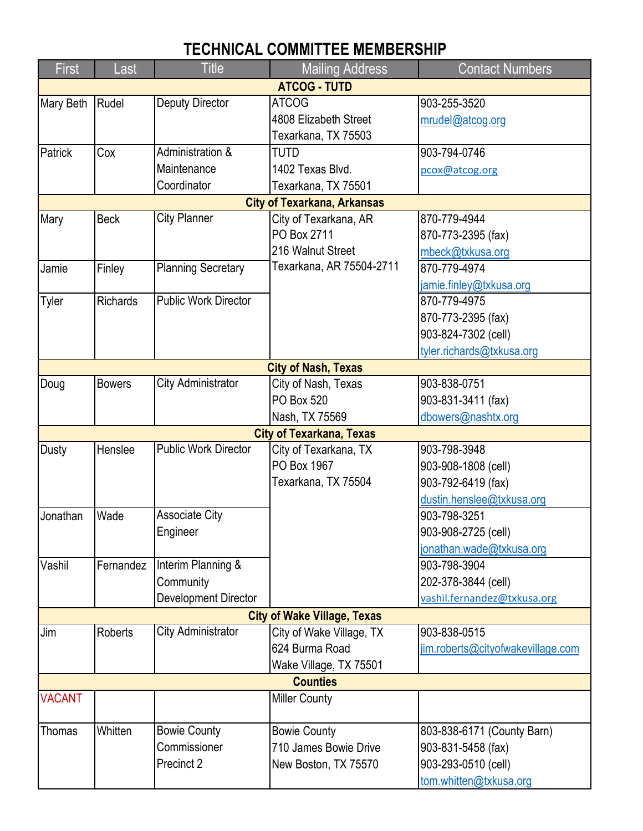## **TECHNICAL COMMITTEE MEMBERSHIP**

| <b>First</b>                       | Last            | <b>Title</b>                | <b>Mailing Address</b>          | <b>Contact Numbers</b>            |  |  |  |  |
|------------------------------------|-----------------|-----------------------------|---------------------------------|-----------------------------------|--|--|--|--|
| <b>ATCOG - TUTD</b>                |                 |                             |                                 |                                   |  |  |  |  |
| Mary Beth                          | Rudel           | <b>Deputy Director</b>      | <b>ATCOG</b>                    | 903-255-3520                      |  |  |  |  |
|                                    |                 |                             | 4808 Elizabeth Street           | mrudel@atcog.org                  |  |  |  |  |
|                                    |                 |                             | Texarkana, TX 75503             |                                   |  |  |  |  |
| Patrick                            | Cox             | Administration &            | TUTD                            | 903-794-0746                      |  |  |  |  |
|                                    |                 | Maintenance                 | 1402 Texas Blvd.                | pcox@atcog.org                    |  |  |  |  |
|                                    |                 | Coordinator                 | Texarkana, TX 75501             |                                   |  |  |  |  |
| <b>City of Texarkana, Arkansas</b> |                 |                             |                                 |                                   |  |  |  |  |
| Mary                               | <b>Beck</b>     | <b>City Planner</b>         | City of Texarkana, AR           | 870-779-4944                      |  |  |  |  |
|                                    |                 |                             | PO Box 2711                     | 870-773-2395 (fax)                |  |  |  |  |
|                                    |                 |                             | 216 Walnut Street               | mbeck@txkusa.org                  |  |  |  |  |
| Jamie                              | Finley          | <b>Planning Secretary</b>   | Texarkana, AR 75504-2711        | 870-779-4974                      |  |  |  |  |
|                                    |                 |                             |                                 | jamie.finley@txkusa.org           |  |  |  |  |
| Tyler                              | <b>Richards</b> | <b>Public Work Director</b> |                                 | 870-779-4975                      |  |  |  |  |
|                                    |                 |                             |                                 | 870-773-2395 (fax)                |  |  |  |  |
|                                    |                 |                             |                                 | 903-824-7302 (cell)               |  |  |  |  |
|                                    |                 |                             |                                 | tyler.richards@txkusa.org         |  |  |  |  |
|                                    |                 |                             | <b>City of Nash, Texas</b>      |                                   |  |  |  |  |
| Doug                               | <b>Bowers</b>   | City Administrator          | City of Nash, Texas             | 903-838-0751                      |  |  |  |  |
|                                    |                 |                             | PO Box 520                      | 903-831-3411 (fax)                |  |  |  |  |
|                                    |                 |                             | Nash, TX 75569                  | dbowers@nashtx.org                |  |  |  |  |
|                                    |                 |                             | <b>City of Texarkana, Texas</b> |                                   |  |  |  |  |
| Dusty                              | Henslee         | <b>Public Work Director</b> | City of Texarkana, TX           | 903-798-3948                      |  |  |  |  |
|                                    |                 |                             | PO Box 1967                     | 903-908-1808 (cell)               |  |  |  |  |
|                                    |                 |                             | Texarkana, TX 75504             | 903-792-6419 (fax)                |  |  |  |  |
|                                    |                 |                             |                                 | dustin.henslee@txkusa.org         |  |  |  |  |
| Jonathan                           | Wade            | <b>Associate City</b>       |                                 | 903-798-3251                      |  |  |  |  |
|                                    |                 | Engineer                    |                                 | 903-908-2725 (cell)               |  |  |  |  |
|                                    |                 |                             |                                 | jonathan.wade@txkusa.org          |  |  |  |  |
| Vashil                             | Fernandez       | Interim Planning &          |                                 | 903-798-3904                      |  |  |  |  |
|                                    |                 | Community                   |                                 | 202-378-3844 (cell)               |  |  |  |  |
|                                    |                 | Development Director        |                                 | vashil.fernandez@txkusa.org       |  |  |  |  |
| <b>City of Wake Village, Texas</b> |                 |                             |                                 |                                   |  |  |  |  |
| Jim                                | <b>Roberts</b>  | <b>City Administrator</b>   | City of Wake Village, TX        | 903-838-0515                      |  |  |  |  |
|                                    |                 |                             | 624 Burma Road                  | jim.roberts@cityofwakevillage.com |  |  |  |  |
|                                    |                 |                             | Wake Village, TX 75501          |                                   |  |  |  |  |
| <b>Counties</b>                    |                 |                             |                                 |                                   |  |  |  |  |
| <b>VACANT</b>                      |                 |                             | <b>Miller County</b>            |                                   |  |  |  |  |
|                                    |                 |                             |                                 |                                   |  |  |  |  |
| <b>Thomas</b>                      | Whitten         | <b>Bowie County</b>         | <b>Bowie County</b>             | 803-838-6171 (County Barn)        |  |  |  |  |
|                                    |                 | Commissioner                | 710 James Bowie Drive           | 903-831-5458 (fax)                |  |  |  |  |
|                                    |                 | Precinct 2                  | New Boston, TX 75570            | 903-293-0510 (cell)               |  |  |  |  |
|                                    |                 |                             |                                 | tom.whitten@txkusa.org            |  |  |  |  |